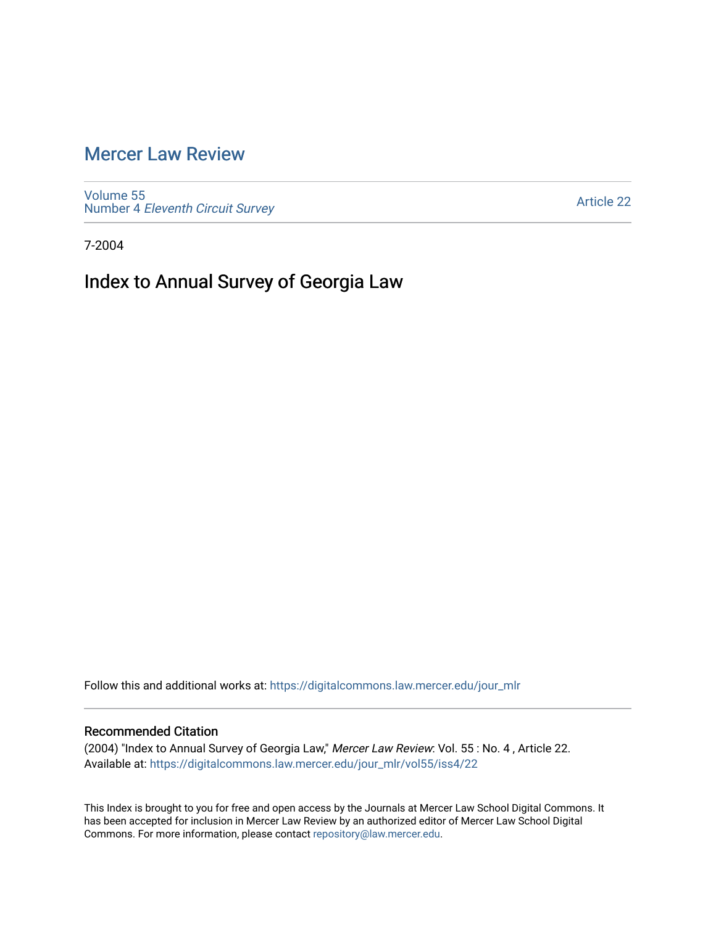## [Mercer Law Review](https://digitalcommons.law.mercer.edu/jour_mlr)

[Volume 55](https://digitalcommons.law.mercer.edu/jour_mlr/vol55) Number 4 [Eleventh Circuit Survey](https://digitalcommons.law.mercer.edu/jour_mlr/vol55/iss4) 

[Article 22](https://digitalcommons.law.mercer.edu/jour_mlr/vol55/iss4/22) 

7-2004

## Index to Annual Survey of Georgia Law

Follow this and additional works at: [https://digitalcommons.law.mercer.edu/jour\\_mlr](https://digitalcommons.law.mercer.edu/jour_mlr?utm_source=digitalcommons.law.mercer.edu%2Fjour_mlr%2Fvol55%2Fiss4%2F22&utm_medium=PDF&utm_campaign=PDFCoverPages)

## Recommended Citation

(2004) "Index to Annual Survey of Georgia Law," Mercer Law Review: Vol. 55 : No. 4 , Article 22. Available at: [https://digitalcommons.law.mercer.edu/jour\\_mlr/vol55/iss4/22](https://digitalcommons.law.mercer.edu/jour_mlr/vol55/iss4/22?utm_source=digitalcommons.law.mercer.edu%2Fjour_mlr%2Fvol55%2Fiss4%2F22&utm_medium=PDF&utm_campaign=PDFCoverPages) 

This Index is brought to you for free and open access by the Journals at Mercer Law School Digital Commons. It has been accepted for inclusion in Mercer Law Review by an authorized editor of Mercer Law School Digital Commons. For more information, please contact [repository@law.mercer.edu.](mailto:repository@law.mercer.edu)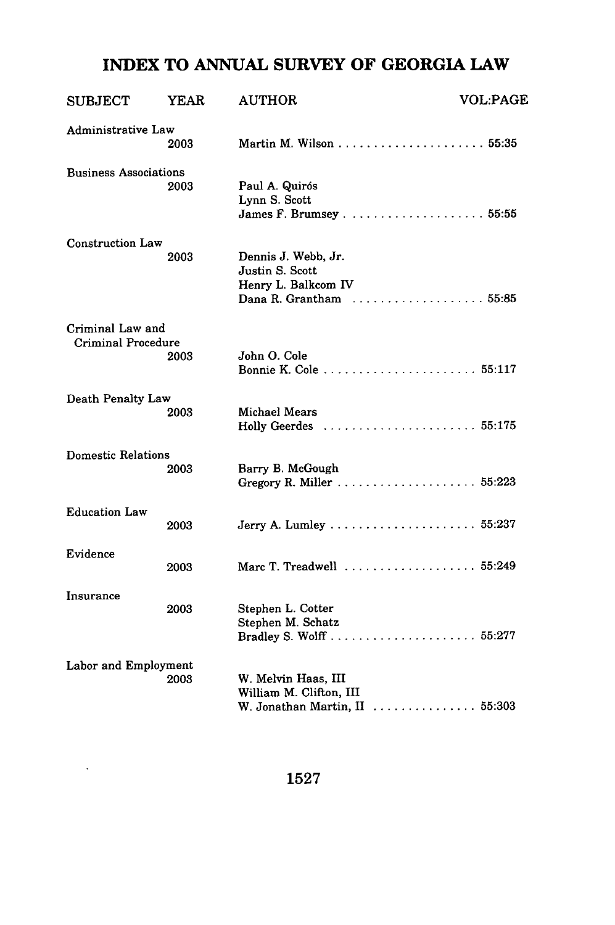## **INDEX TO ANNUAL SURVEY OF GEORGIA LAW**

| <b>SUBJECT</b>                         | <b>YEAR</b> | <b>AUTHOR</b>                                                                            | <b>VOL:PAGE</b> |
|----------------------------------------|-------------|------------------------------------------------------------------------------------------|-----------------|
| Administrative Law                     | 2003        |                                                                                          |                 |
| <b>Business Associations</b>           | 2003        | Paul A. Quirós<br>Lynn S. Scott                                                          |                 |
| <b>Construction Law</b>                | 2003        | Dennis J. Webb, Jr.<br>Justin S. Scott<br>Henry L. Balkcom IV<br>Dana R. Grantham  55:85 |                 |
| Criminal Law and<br>Criminal Procedure | 2003        | John O. Cole                                                                             |                 |
| Death Penalty Law                      | 2003        | Michael Mears<br>Holly Geerdes  55:175                                                   |                 |
| <b>Domestic Relations</b>              | 2003        | Barry B. McGough                                                                         |                 |
| <b>Education Law</b>                   | 2003        |                                                                                          |                 |
| Evidence                               | 2003        | Marc T. Treadwell  55:249                                                                |                 |
| Insurance                              | 2003        | Stephen L. Cotter<br>Stephen M. Schatz                                                   |                 |
| Labor and Employment                   | 2003        | W. Melvin Haas, III<br>William M. Clifton, III<br>W. Jonathan Martin, II  55:303         |                 |

1527

 $\ddot{\phantom{0}}$